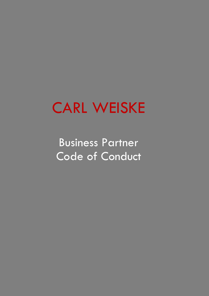# CARL WEISKE

Business Partner Code of Conduct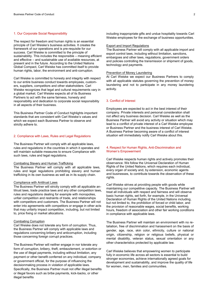# 1. Our Corporate Social Responsibility

The respect for freedom and human rights is an essential principle of Carl Weiske's business activities. It creates the framework of our operations and is pre-requisite for our success. Carl Weiske is committed to the principle of sustainability. This includes the responsible – meaning efficient and effective – and sustainable use of available resources, at present and in the future. According to the United Nations Global Compact, Carl Weiske has committed itself to provide human rights, labor, the environment and anti-corruption.

Carl Weiske is committed to honesty and integrity with respect to our entire business conduct towards employees, customers, suppliers, competitors and other stakeholders. Carl Weiske recognizes that legal and cultural requirements vary in a global market. Carl Weiske expects all of its Business Partners to act with the same fairness, honesty and responsibility and dedication to corporate social responsibility in all aspects of their business.

This Business Partner Code of Conduct highlights important standards that are consistent with Carl Weiske's values and which we expect each Business Partner to observe and strictly adhere to.

# 2. Compliance with Laws, Rules and Legal Regulations

The Business Partner will comply with all applicable laws, rules and regulations in the countries in which it operates and will maintain suitable measures to ensure Compliance with such laws, rules and legal regulations.

#### Combating Slavery and Human Trafficking

The Business Partner will comply with all applicable laws, rules and legal regulations prohibiting slavery and human trafficking in its own business as well as in its supply chain.

#### Compliance with Antitrust Laws

The Business Partner will strictly comply with all applicable antitrust laws, trade practice laws and any other competition laws, rules and regulations dealing for example with monopolies, unfair competition and restraints of trade, and relationships with competitors and customers. The Business Partner will not enter into agreements with competitors or engage in other acts that may unfairly impact competition, including, but not limited to, price fixing or market allocations.

#### Combating Corruption

Carl Weiske does not tolerate any form of corruption. Thus, the Business Partner will comply with applicable laws and regulations concerning bribery and anticorruption, including those concerning foreign corrupt practices.

The Business Partner will neither engage in nor tolerate any form of corruption, bribery, theft, embezzlement, or extortion or the use of illegal payments, including without limitation, any payment or other benefit conferred on any individual, company or government official, for the purpose of influencing the decisionmaking process in violation of applicable laws. Specifically, the Business Partner must not offer illegal benefits or illegal favors such as bribe payments, kick-backs, or other illegal benefits

including inappropriate gifts and undue hospitality towards Carl Weiske employees for the exchange of business opportunities.

#### Export and Import Regulations

The Business Partner will comply with all applicable import and export control laws, including without limitation, sanctions, embargoes and other laws, regulations, government orders and policies controlling the transmission or shipment of goods, technology and payments.

#### Prevention of Money Laundering

At Carl Weiske we expect our Business Partners to comply with all applicable statutes governing the prevention of money laundering and not to participate in any money laundering activity.

# 3. Conflict of Interest

Employees are expected to act in the best interest of their company. Private interests and personal consideration shall not affect any business decision. Carl Weiske as well as the Business Partner will avoid any activity or situation which may lead to a conflict of private interest of a Carl Weiske employee or Business Partner and the business interest of Carl Weiske. A Business Partner becoming aware of a conflict of interest situation will immediately notify Carl Weiske about this.

# 4. Respect for Human Rights, Anti-Discrimination and Women's Empowerment

Carl Weiske respects human rights and actively promotes their observance. We follow the Universal Declaration of Human Rights of the United Nations, which requires each individual, every organ of society and, by extension, economic agents and businesses, to contribute towards the observation of these rights.

Carl Weiske strives at providing people with goods while maintaining our competitive capacity. The Business Partner will treat all individuals with respect and fairness and will observe basic human rights, set forth, for example, in the Universal Declaration of Human Rights of the United Nations including, but not limited to, the prohibition of forced or child labor, and the provision of reasonable wages, social benefits, working hours, freedom of association and other fair working conditions in compliance with applicable laws.

The Business Partner will maintain an environment with no retaliation, free of discrimination and harassment on the basis of gender, age, race, skin color, ethnicity, culture or national origin, citizenship, religion or religious beliefs, physical or mental disability, veteran status, sexual orientation or any other characteristics protected by applicable law.

Carl Weiske believes that empowering women to participate fully in economic life across all sectors is essential to build stronger economies, achieve internationally agreed goals for development and sustainability, and improve the quality of life for women, men, families and communities.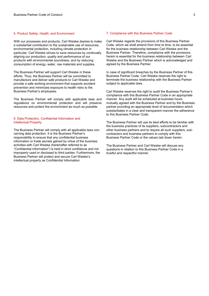# 5. Product Safety, Health, and Environment

With our processes and products, Carl Weiske desires to make a substantial contribution to the sustainable use of resources, environmental protection, including climate protection in particular. Carl Weiske strives to save resources by continually aligning our production, quality and performance of our products with environmental soundness, and by reducing consumption of energy, water, raw materials and supplies.

The Business Partner will support Carl Weiske in these efforts. Thus, the Business Partner will be committed to manufacture and deliver safe products to Carl Weiske and provide a safe working environment that supports accident prevention and minimizes exposure to health risks to the Business Partner's employees.

The Business Partner will comply with applicable laws and regulations on environmental protection and will preserve resources and protect the environment as much as possible.

# 6. Data Protection, Confidential Information and Intellectual Property

The Business Partner will comply with all applicable laws concerning data protection. It is the Business Partner's responsibility to ensure that any confidential business information or trade secrets gained by virtue of the business activities with Carl Weiske (hereinafter referred to as "Confidential Information") is held in strict confidence and not improperly used or disclosed to third parties. Furthermore, the Business Partner will protect and secure Carl Weiske's intellectual property as Confidential Information.

#### 7. Compliance with this Business Partner Code

Carl Weiske regards the provisions of this Business Partner Code, which we shall amend from time to time, to be essential for the business relationship between Carl Weiske and the Business Partner. Therefore, compliance with the provisions herein is essential for the business relationship between Carl Weiske and the Business Partner which is acknowledged and agreed by the Business Partner.

In case of significant breaches by the Business Partner of this Business Partner Code, Carl Weiske reserves the right to terminate the business relationship with the Business Partner subject to applicable laws.

Carl Weiske reserves the right to audit the Business Partner's compliance with this Business Partner Code in an appropriate manner. Any audit will be scheduled at business hours mutually agreed with the Business Partner and by the Business partner providing an appropriate level of documentation which substantiates in a clear and transparent manner the adherence to this Business Partner Code.

The Business Partner will use its best efforts to be familiar with the business practices of its suppliers, subcontractors and other business partners and to require all such suppliers, subcontractors and business partners to comply with this Business Partner Code or the values laid down herein.

The Business Partner and Carl Weiske will discuss any questions in relation to this Business Partner Code in a trustful and respectful manner.